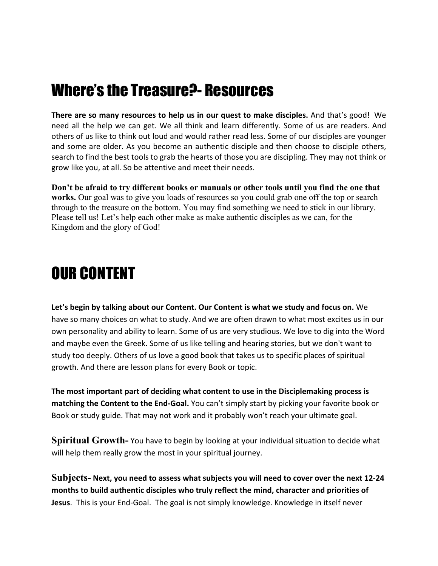## Where's the Treasure?- Resources

**There are so many resources to help us in our quest to make disciples.** And that's good! We need all the help we can get. We all think and learn differently. Some of us are readers. And others of us like to think out loud and would rather read less. Some of our disciples are younger and some are older. As you become an authentic disciple and then choose to disciple others, search to find the best tools to grab the hearts of those you are discipling. They may not think or grow like you, at all. So be attentive and meet their needs.

**Don't be afraid to try different books or manuals or other tools until you find the one that works.** Our goal was to give you loads of resources so you could grab one off the top or search through to the treasure on the bottom. You may find something we need to stick in our library. Please tell us! Let's help each other make as make authentic disciples as we can, for the Kingdom and the glory of God!

## OUR CONTENT

**Let's begin by talking about our Content. Our Content is what we study and focus on.** We have so many choices on what to study. And we are often drawn to what most excites us in our own personality and ability to learn. Some of us are very studious. We love to dig into the Word and maybe even the Greek. Some of us like telling and hearing stories, but we don't want to study too deeply. Others of us love a good book that takes us to specific places of spiritual growth. And there are lesson plans for every Book or topic.

**The most important part of deciding what content to use in the Disciplemaking process is matching the Content to the End-Goal.** You can't simply start by picking your favorite book or Book or study guide. That may not work and it probably won't reach your ultimate goal.

**Spiritual Growth-** You have to begin by looking at your individual situation to decide what will help them really grow the most in your spiritual journey.

**Subjects- Next, you need to assess what subjects you will need to cover over the next 12-24 months to build authentic disciples who truly reflect the mind, character and priorities of Jesus**. This is your End-Goal. The goal is not simply knowledge. Knowledge in itself never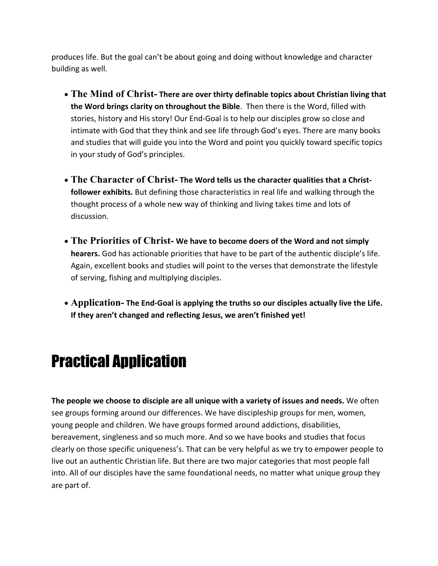produces life. But the goal can't be about going and doing without knowledge and character building as well.

- **The Mind of Christ- There are over thirty definable topics about Christian living that the Word brings clarity on throughout the Bible**. Then there is the Word, filled with stories, history and His story! Our End-Goal is to help our disciples grow so close and intimate with God that they think and see life through God's eyes. There are many books and studies that will guide you into the Word and point you quickly toward specific topics in your study of God's principles.
- **The Character of Christ- The Word tells us the character qualities that a Christfollower exhibits.** But defining those characteristics in real life and walking through the thought process of a whole new way of thinking and living takes time and lots of discussion.
- **The Priorities of Christ- We have to become doers of the Word and not simply hearers.** God has actionable priorities that have to be part of the authentic disciple's life. Again, excellent books and studies will point to the verses that demonstrate the lifestyle of serving, fishing and multiplying disciples.
- **Application- The End-Goal is applying the truths so our disciples actually live the Life. If they aren't changed and reflecting Jesus, we aren't finished yet!**

## Practical Application

**The people we choose to disciple are all unique with a variety of issues and needs.** We often see groups forming around our differences. We have discipleship groups for men, women, young people and children. We have groups formed around addictions, disabilities, bereavement, singleness and so much more. And so we have books and studies that focus clearly on those specific uniqueness's. That can be very helpful as we try to empower people to live out an authentic Christian life. But there are two major categories that most people fall into. All of our disciples have the same foundational needs, no matter what unique group they are part of.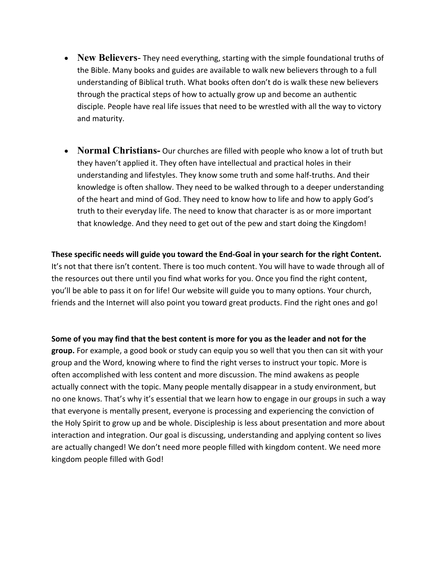- **New Believers** They need everything, starting with the simple foundational truths of the Bible. Many books and guides are available to walk new believers through to a full understanding of Biblical truth. What books often don't do is walk these new believers through the practical steps of how to actually grow up and become an authentic disciple. People have real life issues that need to be wrestled with all the way to victory and maturity.
- **Normal Christians-** Our churches are filled with people who know a lot of truth but they haven't applied it. They often have intellectual and practical holes in their understanding and lifestyles. They know some truth and some half-truths. And their knowledge is often shallow. They need to be walked through to a deeper understanding of the heart and mind of God. They need to know how to life and how to apply God's truth to their everyday life. The need to know that character is as or more important that knowledge. And they need to get out of the pew and start doing the Kingdom!

**These specific needs will guide you toward the End-Goal in your search for the right Content.** It's not that there isn't content. There is too much content. You will have to wade through all of the resources out there until you find what works for you. Once you find the right content, you'll be able to pass it on for life! Our website will guide you to many options. Your church, friends and the Internet will also point you toward great products. Find the right ones and go!

**Some of you may find that the best content is more for you as the leader and not for the group.** For example, a good book or study can equip you so well that you then can sit with your group and the Word, knowing where to find the right verses to instruct your topic. More is often accomplished with less content and more discussion. The mind awakens as people actually connect with the topic. Many people mentally disappear in a study environment, but no one knows. That's why it's essential that we learn how to engage in our groups in such a way that everyone is mentally present, everyone is processing and experiencing the conviction of the Holy Spirit to grow up and be whole. Discipleship is less about presentation and more about interaction and integration. Our goal is discussing, understanding and applying content so lives are actually changed! We don't need more people filled with kingdom content. We need more kingdom people filled with God!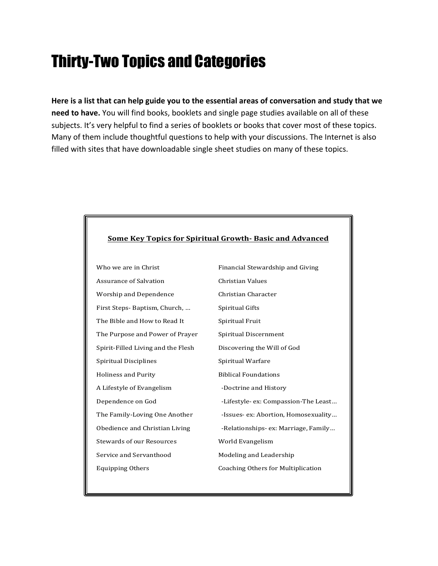# Thirty-Two Topics and Categories

**Here is a list that can help guide you to the essential areas of conversation and study that we need to have.** You will find books, booklets and single page studies available on all of these subjects. It's very helpful to find a series of booklets or books that cover most of these topics. Many of them include thoughtful questions to help with your discussions. The Internet is also filled with sites that have downloadable single sheet studies on many of these topics.

#### **<u>Some Key Topics for Spiritual Growth-Basic and Advanced</u>**

Who we are in Christ Financial Stewardship and Giving Assurance of Salvation Christian Values Worship and Dependence Christian Character First Steps- Baptism, Church, ... Spiritual Gifts The Bible and How to Read It Spiritual Fruit The Purpose and Power of Prayer Spiritual Discernment Spirit-Filled Living and the Flesh Discovering the Will of God Spiritual Disciplines Spiritual Warfare Holiness and Purity Biblical Foundations A Lifestyle of Evangelism **Doctrine** and History Dependence on God **Dependence** on God **COMPA** -Lifestyle- ex: Compassion-The Least... The Family-Loving One Another **Family-Loving One Another Busical** -Issues- ex: Abortion, Homosexuality... Obedience and Christian Living The Relationships- ex: Marriage, Family... Stewards of our Resources World Evangelism Service and Servanthood Modeling and Leadership Equipping Others **Coaching Others** Coaching Others for Multiplication